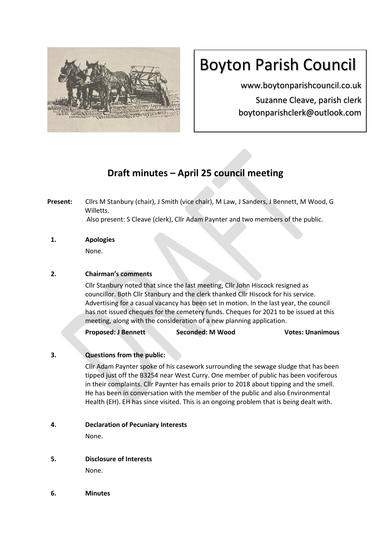

# Boyton Parish Council

www.boytonparishcouncil.co.uk Suzanne Cleave, parish clerk boytonparishclerk@outlook.com

# **Draft minutes – April 25 council meeting**

**Present:** Cllrs M Stanbury (chair), J Smith (vice chair), M Law, J Sanders, J Bennett, M Wood, G Willetts. Also present: S Cleave (clerk), Cllr Adam Paynter and two members of the public.

**1. Apologies**  None.

# **2. Chairman's comments**

Cllr Stanbury noted that since the last meeting, Cllr John Hiscock resigned as councillor. Both Cllr Stanbury and the clerk thanked Cllr Hiscock for his service. Advertising for a casual vacancy has been set in motion. In the last year, the council has not issued cheques for the cemetery funds. Cheques for 2021 to be issued at this meeting, along with the consideration of a new planning application.

**Proposed: J Bennett Seconded: M Wood Votes: Unanimous**

## **3. Questions from the public:**

Cllr Adam Paynter spoke of his casework surrounding the sewage sludge that has been tipped just off the B3254 near West Curry. One member of public has been vociferous in their complaints. Cllr Paynter has emails prior to 2018 about tipping and the smell. He has been in conversation with the member of the public and also Environmental Health (EH). EH has since visited. This is an ongoing problem that is being dealt with.

**4. Declaration of Pecuniary Interests**

None.

- **5. Disclosure of Interests**  None.
- **6. Minutes**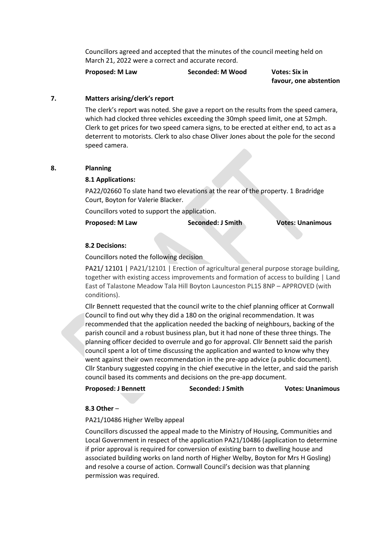Councillors agreed and accepted that the minutes of the council meeting held on March 21, 2022 were a correct and accurate record.

**Proposed: M Law Seconded: M Wood Votes: Six in**

 **favour, one abstention**

### **7. Matters arising/clerk's report**

The clerk's report was noted. She gave a report on the results from the speed camera, which had clocked three vehicles exceeding the 30mph speed limit, one at 52mph. Clerk to get prices for two speed camera signs, to be erected at either end, to act as a deterrent to motorists. Clerk to also chase Oliver Jones about the pole for the second speed camera.

#### **8. Planning**

#### **8.1 Applications:**

PA22/02660 To slate hand two elevations at the rear of the property. 1 Bradridge Court, Boyton for Valerie Blacker.

Councillors voted to support the application.

**Proposed: M Law Seconded: J Smith Votes: Unanimous**

#### **8.2 Decisions:**

Councillors noted the following decision

PA21/ 12101 | PA21/12101 | Erection of agricultural general purpose storage building, together with existing access improvements and formation of access to building | Land East of Talastone Meadow Tala Hill Boyton Launceston PL15 8NP – APPROVED (with conditions).

Cllr Bennett requested that the council write to the chief planning officer at Cornwall Council to find out why they did a 180 on the original recommendation. It was recommended that the application needed the backing of neighbours, backing of the parish council and a robust business plan, but it had none of these three things. The planning officer decided to overrule and go for approval. Cllr Bennett said the parish council spent a lot of time discussing the application and wanted to know why they went against their own recommendation in the pre-app advice (a public document). Cllr Stanbury suggested copying in the chief executive in the letter, and said the parish council based its comments and decisions on the pre-app document.

**Proposed: J Bennett Seconded: J Smith Votes: Unanimous**

#### **8.3 Other** –

PA21/10486 Higher Welby appeal

Councillors discussed the appeal made to the Ministry of Housing, Communities and Local Government in respect of the application PA21/10486 (application to determine if prior approval is required for conversion of existing barn to dwelling house and associated building works on land north of Higher Welby, Boyton for Mrs H Gosling) and resolve a course of action. Cornwall Council's decision was that planning permission was required.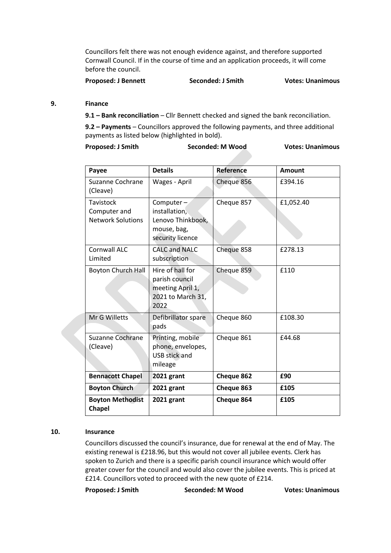Councillors felt there was not enough evidence against, and therefore supported Cornwall Council. If in the course of time and an application proceeds, it will come before the council.

**Proposed: J Bennett Seconded: J Smith Votes: Unanimous**

#### **9. Finance**

**9.1 – Bank reconciliation** – Cllr Bennett checked and signed the bank reconciliation.

**9.2 – Payments** – Councillors approved the following payments, and three additional payments as listed below (highlighted in bold).

Proposed: J Smith Seconded: M Wood Votes: Unanimous

| Payee                                                 | <b>Details</b>                                                                        | <b>Reference</b>  | <b>Amount</b> |
|-------------------------------------------------------|---------------------------------------------------------------------------------------|-------------------|---------------|
| Suzanne Cochrane<br>(Cleave)                          | Wages - April                                                                         | Cheque 856        | £394.16       |
| Tavistock<br>Computer and<br><b>Network Solutions</b> | Computer $-$<br>installation,<br>Lenovo Thinkbook,<br>mouse, bag,<br>security licence | Cheque 857        | £1,052.40     |
| Cornwall ALC<br>Limited                               | <b>CALC and NALC</b><br>subscription                                                  | Cheque 858        | £278.13       |
| <b>Boyton Church Hall</b>                             | Hire of hall for<br>parish council<br>meeting April 1,<br>2021 to March 31,<br>2022   | Cheque 859        | £110          |
| Mr G Willetts                                         | Defibrillator spare<br>pads                                                           | Cheque 860        | £108.30       |
| Suzanne Cochrane<br>(Cleave)                          | Printing, mobile<br>phone, envelopes,<br><b>USB stick and</b><br>mileage              | Cheque 861        | £44.68        |
| <b>Bennacott Chapel</b>                               | 2021 grant                                                                            | <b>Cheque 862</b> | £90           |
| <b>Boyton Church</b>                                  | 2021 grant                                                                            | Cheque 863        | £105          |
| <b>Boyton Methodist</b><br><b>Chapel</b>              | 2021 grant                                                                            | Cheque 864        | £105          |

#### **10. Insurance**

Councillors discussed the council's insurance, due for renewal at the end of May. The existing renewal is £218.96, but this would not cover all jubilee events. Clerk has spoken to Zurich and there is a specific parish council insurance which would offer greater cover for the council and would also cover the jubilee events. This is priced at £214. Councillors voted to proceed with the new quote of £214.

**Proposed: J Smith Seconded: M Wood Votes: Unanimous**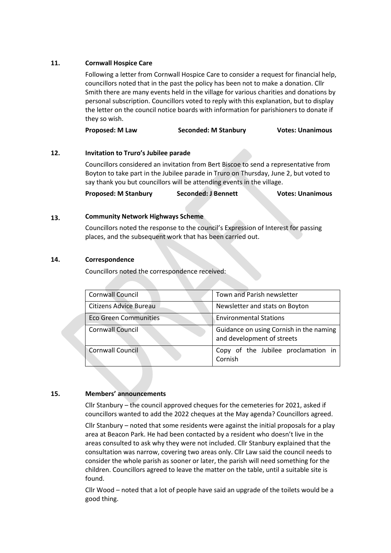#### **11. Cornwall Hospice Care**

Following a letter from Cornwall Hospice Care to consider a request for financial help, councillors noted that in the past the policy has been not to make a donation. Cllr Smith there are many events held in the village for various charities and donations by personal subscription. Councillors voted to reply with this explanation, but to display the letter on the council notice boards with information for parishioners to donate if they so wish.

**Proposed: M Law Seconded: M Stanbury Votes: Unanimous**

#### **12. Invitation to Truro's Jubilee parade**

Councillors considered an invitation from Bert Biscoe to send a representative from Boyton to take part in the Jubilee parade in Truro on Thursday, June 2, but voted to say thank you but councillors will be attending events in the village.

**Proposed: M Stanbury Seconded: J Bennett Votes: Unanimous**

#### **13. Community Network Highways Scheme**

Councillors noted the response to the council's Expression of Interest for passing places, and the subsequent work that has been carried out.

#### **14. Correspondence**

Councillors noted the correspondence received:

| <b>Cornwall Council</b>      | Town and Parish newsletter                                            |  |
|------------------------------|-----------------------------------------------------------------------|--|
| Citizens Advice Bureau       | Newsletter and stats on Boyton                                        |  |
| <b>Eco Green Communities</b> | <b>Environmental Stations</b>                                         |  |
| <b>Cornwall Council</b>      | Guidance on using Cornish in the naming<br>and development of streets |  |
| <b>Cornwall Council</b>      | Copy of the Jubilee proclamation in<br>Cornish                        |  |

## **15. Members' announcements**

Cllr Stanbury – the council approved cheques for the cemeteries for 2021, asked if councillors wanted to add the 2022 cheques at the May agenda? Councillors agreed.

Cllr Stanbury – noted that some residents were against the initial proposals for a play area at Beacon Park. He had been contacted by a resident who doesn't live in the areas consulted to ask why they were not included. Cllr Stanbury explained that the consultation was narrow, covering two areas only. Cllr Law said the council needs to consider the whole parish as sooner or later, the parish will need something for the children. Councillors agreed to leave the matter on the table, until a suitable site is found.

Cllr Wood – noted that a lot of people have said an upgrade of the toilets would be a good thing.